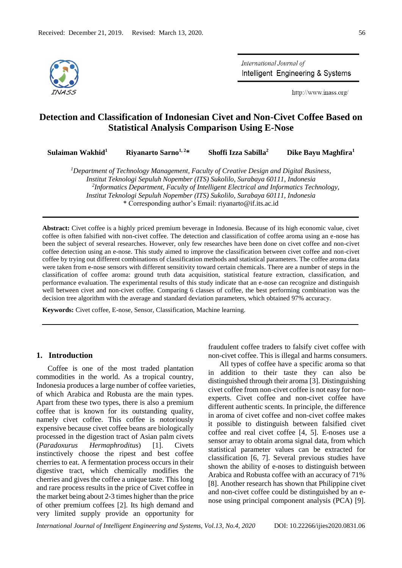

International Journal of Intelligent Engineering & Systems

http://www.inass.org/

# **Detection and Classification of Indonesian Civet and Non-Civet Coffee Based on Statistical Analysis Comparison Using E-Nose**

|  | Sulaiman Wakhid <sup>1</sup> | Rivanarto Sarno <sup>1, 2*</sup> | Shoffi Izza Sabilla <sup>2</sup> | Dike Bayu Maghfira <sup>1</sup> |
|--|------------------------------|----------------------------------|----------------------------------|---------------------------------|
|--|------------------------------|----------------------------------|----------------------------------|---------------------------------|

*<sup>1</sup>Department of Technology Management, Faculty of Creative Design and Digital Business, Institut Teknologi Sepuluh Nopember (ITS) Sukolilo, Surabaya 60111, Indonesia 2 Informatics Department, Faculty of Intelligent Electrical and Informatics Technology, Institut Teknologi Sepuluh Nopember (ITS) Sukolilo, Surabaya 60111, Indonesia*  \* Corresponding author's Email: riyanarto@if.its.ac.id

**Abstract:** Civet coffee is a highly priced premium beverage in Indonesia. Because of its high economic value, civet coffee is often falsified with non-civet coffee. The detection and classification of coffee aroma using an e-nose has been the subject of several researches. However, only few researches have been done on civet coffee and non-civet coffee detection using an e-nose. This study aimed to improve the classification between civet coffee and non-civet coffee by trying out different combinations of classification methods and statistical parameters. The coffee aroma data were taken from e-nose sensors with different sensitivity toward certain chemicals. There are a number of steps in the classification of coffee aroma: ground truth data acquisition, statistical feature extraction, classification, and performance evaluation. The experimental results of this study indicate that an e-nose can recognize and distinguish well between civet and non-civet coffee. Comparing 6 classes of coffee, the best performing combination was the decision tree algorithm with the average and standard deviation parameters, which obtained 97% accuracy.

**Keywords:** Civet coffee, E-nose, Sensor, Classification, Machine learning.

#### **1. Introduction**

Coffee is one of the most traded plantation commodities in the world. As a tropical country, Indonesia produces a large number of coffee varieties, of which Arabica and Robusta are the main types. Apart from these two types, there is also a premium coffee that is known for its outstanding quality, namely civet coffee. This coffee is notoriously expensive because civet coffee beans are biologically processed in the digestion tract of Asian palm civets (*Paradoxurus Hermaphroditus*) [1]. Civets instinctively choose the ripest and best coffee cherries to eat. A fermentation process occurs in their digestive tract, which chemically modifies the cherries and gives the coffee a unique taste. This long and rare process results in the price of Civet coffee in the market being about 2-3 times higher than the price of other premium coffees [2]. Its high demand and very limited supply provide an opportunity for

fraudulent coffee traders to falsify civet coffee with non-civet coffee. This is illegal and harms consumers.

All types of coffee have a specific aroma so that in addition to their taste they can also be distinguished through their aroma [3]. Distinguishing civet coffee from non-civet coffee is not easy for nonexperts. Civet coffee and non-civet coffee have different authentic scents. In principle, the difference in aroma of civet coffee and non-civet coffee makes it possible to distinguish between falsified civet coffee and real civet coffee [4, 5]. E-noses use a sensor array to obtain aroma signal data, from which statistical parameter values can be extracted for classification [6, 7]. Several previous studies have shown the ability of e-noses to distinguish between Arabica and Robusta coffee with an accuracy of 71% [8]. Another research has shown that Philippine civet and non-civet coffee could be distinguished by an enose using principal component analysis (PCA) [9].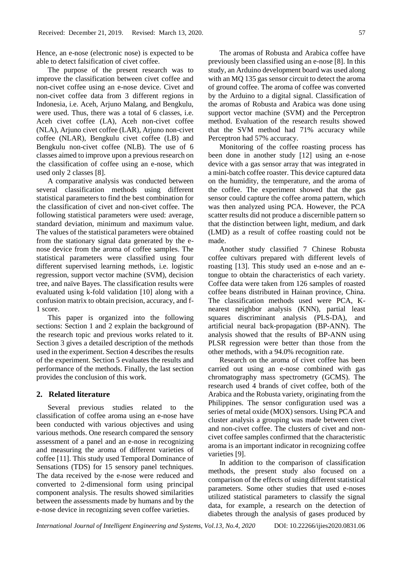Hence, an e-nose (electronic nose) is expected to be able to detect falsification of civet coffee.

The purpose of the present research was to improve the classification between civet coffee and non-civet coffee using an e-nose device. Civet and non-civet coffee data from 3 different regions in Indonesia, i.e. Aceh, Arjuno Malang, and Bengkulu, were used. Thus, there was a total of 6 classes, i.e. Aceh civet coffee (LA), Aceh non-civet coffee (NLA), Arjuno civet coffee (LAR), Arjuno non-civet coffee (NLAR), Bengkulu civet coffee (LB) and Bengkulu non-civet coffee (NLB). The use of 6 classes aimed to improve upon a previous research on the classification of coffee using an e-nose, which used only 2 classes [8].

A comparative analysis was conducted between several classification methods using different statistical parameters to find the best combination for the classification of civet and non-civet coffee. The following statistical parameters were used: average, standard deviation, minimum and maximum value. The values of the statistical parameters were obtained from the stationary signal data generated by the enose device from the aroma of coffee samples. The statistical parameters were classified using four different supervised learning methods, i.e. logistic regression, support vector machine (SVM), decision tree, and naïve Bayes. The classification results were evaluated using k-fold validation [10] along with a confusion matrix to obtain precision, accuracy, and f-1 score.

This paper is organized into the following sections: Section 1 and 2 explain the background of the research topic and previous works related to it. Section 3 gives a detailed description of the methods used in the experiment. Section 4 describes the results of the experiment. Section 5 evaluates the results and performance of the methods. Finally, the last section provides the conclusion of this work.

# **2. Related literature**

Several previous studies related to the classification of coffee aroma using an e-nose have been conducted with various objectives and using various methods. One research compared the sensory assessment of a panel and an e-nose in recognizing and measuring the aroma of different varieties of coffee [11]. This study used Temporal Dominance of Sensations (TDS) for 15 sensory panel techniques. The data received by the e-nose were reduced and converted to 2-dimensional form using principal component analysis. The results showed similarities between the assessments made by humans and by the e-nose device in recognizing seven coffee varieties.

The aromas of Robusta and Arabica coffee have previously been classified using an e-nose [8]. In this study, an Arduino development board was used along with an MQ 135 gas sensor circuit to detect the aroma of ground coffee. The aroma of coffee was converted by the Arduino to a digital signal. Classification of the aromas of Robusta and Arabica was done using support vector machine (SVM) and the Perceptron method. Evaluation of the research results showed that the SVM method had 71% accuracy while Perceptron had 57% accuracy.

Monitoring of the coffee roasting process has been done in another study [12] using an e-nose device with a gas sensor array that was integrated in a mini-batch coffee roaster. This device captured data on the humidity, the temperature, and the aroma of the coffee. The experiment showed that the gas sensor could capture the coffee aroma pattern, which was then analyzed using PCA. However, the PCA scatter results did not produce a discernible pattern so that the distinction between light, medium, and dark (LMD) as a result of coffee roasting could not be made.

Another study classified 7 Chinese Robusta coffee cultivars prepared with different levels of roasting [13]. This study used an e-nose and an etongue to obtain the characteristics of each variety. Coffee data were taken from 126 samples of roasted coffee beans distributed in Hainan province, China. The classification methods used were PCA, Knearest neighbor analysis (KNN), partial least squares discriminant analysis (PLS-DA), and artificial neural back-propagation (BP-ANN). The analysis showed that the results of BP-ANN using PLSR regression were better than those from the other methods, with a 94.0% recognition rate.

Research on the aroma of civet coffee has been carried out using an e-nose combined with gas chromatography mass spectrometry (GCMS). The research used 4 brands of civet coffee, both of the Arabica and the Robusta variety, originating from the Philippines. The sensor configuration used was a series of metal oxide (MOX) sensors. Using PCA and cluster analysis a grouping was made between civet and non-civet coffee. The clusters of civet and noncivet coffee samples confirmed that the characteristic aroma is an important indicator in recognizing coffee varieties [9].

In addition to the comparison of classification methods, the present study also focused on a comparison of the effects of using different statistical parameters. Some other studies that used e-noses utilized statistical parameters to classify the signal data, for example, a research on the detection of diabetes through the analysis of gases produced by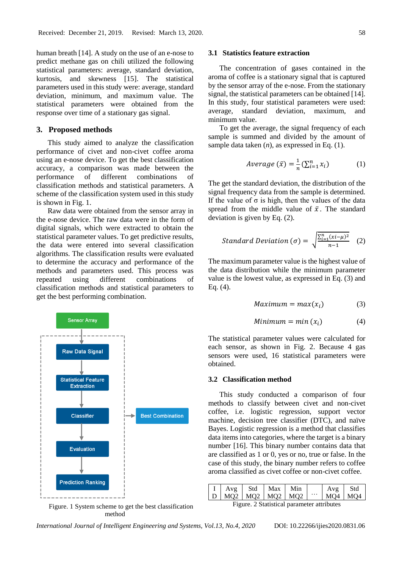human breath [14]. A study on the use of an e-nose to predict methane gas on chili utilized the following statistical parameters: average, standard deviation, kurtosis, and skewness [15]. The statistical parameters used in this study were: average, standard deviation, minimum, and maximum value. The statistical parameters were obtained from the response over time of a stationary gas signal.

#### **3. Proposed methods**

This study aimed to analyze the classification performance of civet and non-civet coffee aroma using an e-nose device. To get the best classification accuracy, a comparison was made between the performance of different combinations of classification methods and statistical parameters. A scheme of the classification system used in this study is shown in Fig. 1.

Raw data were obtained from the sensor array in the e-nose device. The raw data were in the form of digital signals, which were extracted to obtain the statistical parameter values. To get predictive results, the data were entered into several classification algorithms. The classification results were evaluated to determine the accuracy and performance of the methods and parameters used. This process was repeated using different combinations of classification methods and statistical parameters to get the best performing combination.



Figure. 1 System scheme to get the best classification method

#### **3.1 Statistics feature extraction**

The concentration of gases contained in the aroma of coffee is a stationary signal that is captured by the sensor array of the e-nose. From the stationary signal, the statistical parameters can be obtained [14]. In this study, four statistical parameters were used: average, standard deviation, maximum, and minimum value.

To get the average, the signal frequency of each sample is summed and divided by the amount of sample data taken (*n*), as expressed in Eq. (1).

$$
Average\left(\bar{x}\right) = \frac{1}{n} \left(\sum_{i=1}^{n} x_i\right) \tag{1}
$$

The get the standard deviation, the distribution of the signal frequency data from the sample is determined. If the value of  $\sigma$  is high, then the values of the data spread from the middle value of  $\bar{x}$ . The standard deviation is given by Eq. (2).

Standard Deviation (
$$
\sigma
$$
) =  $\sqrt{\frac{\sum_{i=1}^{n}(xi-\mu)^2}{n-1}}$  (2)

The maximum parameter value is the highest value of the data distribution while the minimum parameter value is the lowest value, as expressed in Eq. (3) and Eq. (4).

$$
Maximum = max(x_i) \tag{3}
$$

$$
Minimum = min(xi) \t(4)
$$

The statistical parameter values were calculated for each sensor, as shown in Fig. 2. Because 4 gas sensors were used, 16 statistical parameters were obtained.

# **3.2 Classification method**

This study conducted a comparison of four methods to classify between civet and non-civet coffee, i.e. logistic regression, support vector machine, decision tree classifier (DTC), and naïve Bayes. Logistic regression is a method that classifies data items into categories, where the target is a binary number [16]. This binary number contains data that are classified as 1 or 0, yes or no, true or false. In the case of this study, the binary number refers to coffee aroma classified as civet coffee or non-civet coffee.

| Avg | Std                         | Max | Min |             |  |
|-----|-----------------------------|-----|-----|-------------|--|
|     | $D$   MQ2   MQ2   MQ2   MQ2 |     |     | $MO4$   MO4 |  |

Figure. 2 Statistical parameter attributes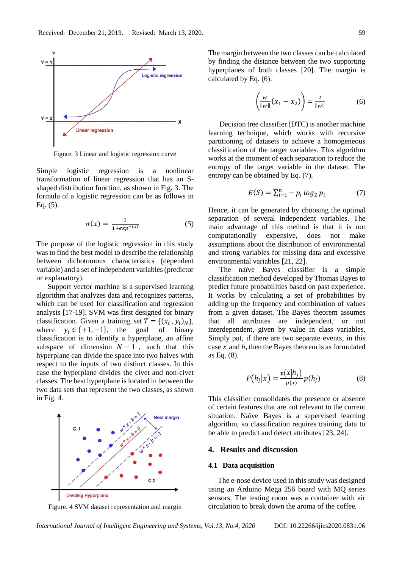

Figure. 3 Linear and logistic regression curve

Simple logistic regression is a nonlinear transformation of linear regression that has an Sshaped distribution function, as shown in Fig. 3. The formula of a logistic regression can be as follows in Eq. (5).

$$
\sigma(x) = \frac{1}{1 + exp^{-(x)}}\tag{5}
$$

The purpose of the logistic regression in this study was to find the best model to describe the relationship between dichotomous characteristics (dependent variable) and a set of independent variables (predictor or explanatory).

Support vector machine is a supervised learning algorithm that analyzes data and recognizes patterns, which can be used for classification and regression analysis [17-19]. SVM was first designed for binary classification. Given a training set  $T = \{(x_i, y_i)_N\},\$ where  $y_i \in \{+1, -1\}$ , the goal of binary classification is to identify a hyperplane, an affine subspace of dimension  $N - 1$ , such that this hyperplane can divide the space into two halves with respect to the inputs of two distinct classes. In this case the hyperplane divides the civet and non-civet classes. The best hyperplane is located in between the two data sets that represent the two classes, as shown in Fig. 4.



Figure. 4 SVM dataset representation and margin

The margin between the two classes can be calculated by finding the distance between the two supporting hyperplanes of both classes [20]. The margin is calculated by Eq. (6).

$$
\left(\frac{w}{\|w\|}(x_1 - x_2)\right) = \frac{2}{\|w\|} \tag{6}
$$

Decision tree classifier (DTC) is another machine learning technique, which works with recursive partitioning of datasets to achieve a homogeneous classification of the target variables. This algorithm works at the moment of each separation to reduce the entropy of the target variable in the dataset. The entropy can be obtained by Eq. (7).

$$
E(S) = \sum_{i=1}^{n} -p_i \log_2 p_i \tag{7}
$$

Hence, it can be generated by choosing the optimal separation of several independent variables. The main advantage of this method is that it is not computationally expensive, does not make assumptions about the distribution of environmental and strong variables for missing data and excessive environmental variables [21, 22].

The naïve Bayes classifier is a simple classification method developed by Thomas Bayes to predict future probabilities based on past experience. It works by calculating a set of probabilities by adding up the frequency and combination of values from a given dataset. The Bayes theorem assumes that all attributes are independent, or not interdependent, given by value in class variables. Simply put, if there are two separate events, in this case  $x$  and  $h$ , then the Bayes theorem is as formulated as Eq. (8).

$$
P(h_j|x) = \frac{p(x|h_j)}{p(x)} p(h_j)
$$
 (8)

This classifier consolidates the presence or absence of certain features that are not relevant to the current situation. Naïve Bayes is a supervised learning algorithm, so classification requires training data to be able to predict and detect attributes [23, 24].

# **4. Results and discussion**

# **4.1 Data acquisition**

The e-nose device used in this study was designed using an Arduino Mega 256 board with MQ series sensors. The testing room was a container with air circulation to break down the aroma of the coffee.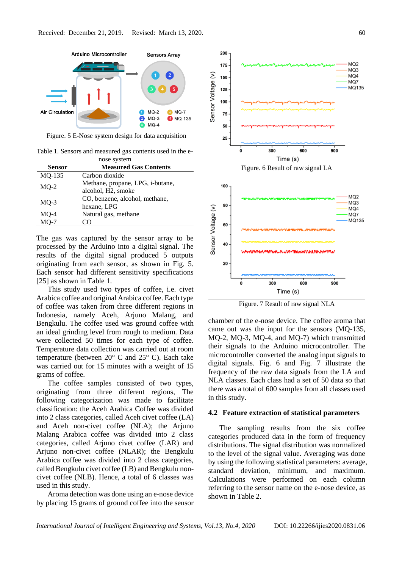

Figure. 5 E-Nose system design for data acquisition

Table 1. Sensors and measured gas contents used in the enose system

| nose s vstem  |                                                        |  |  |  |
|---------------|--------------------------------------------------------|--|--|--|
| <b>Sensor</b> | <b>Measured Gas Contents</b>                           |  |  |  |
| MQ-135        | Carbon dioxide                                         |  |  |  |
| $MO-2$        | Methane, propane, LPG, i-butane,<br>alcohol, H2, smoke |  |  |  |
| $MO-3$        | CO, benzene, alcohol, methane,<br>hexane, LPG          |  |  |  |
| MQ-4          | Natural gas, methane                                   |  |  |  |
| $MO-7$        |                                                        |  |  |  |
|               |                                                        |  |  |  |

The gas was captured by the sensor array to be processed by the Arduino into a digital signal. The results of the digital signal produced 5 outputs originating from each sensor, as shown in Fig. 5. Each sensor had different sensitivity specifications [25] as shown in Table 1.

This study used two types of coffee, i.e. civet Arabica coffee and original Arabica coffee. Each type of coffee was taken from three different regions in Indonesia, namely Aceh, Arjuno Malang, and Bengkulu. The coffee used was ground coffee with an ideal grinding level from rough to medium. Data were collected 50 times for each type of coffee. Temperature data collection was carried out at room temperature (between 20° C and 25° C). Each take was carried out for 15 minutes with a weight of 15 grams of coffee.

The coffee samples consisted of two types, originating from three different regions, The following categorization was made to facilitate classification: the Aceh Arabica Coffee was divided into 2 class categories, called Aceh civet coffee (LA) and Aceh non-civet coffee (NLA); the Arjuno Malang Arabica coffee was divided into 2 class categories, called Arjuno civet coffee (LAR) and Arjuno non-civet coffee (NLAR); the Bengkulu Arabica coffee was divided into 2 class categories, called Bengkulu civet coffee (LB) and Bengkulu noncivet coffee (NLB). Hence, a total of 6 classes was used in this study.

Aroma detection was done using an e-nose device by placing 15 grams of ground coffee into the sensor



Figure. 7 Result of raw signal NLA

chamber of the e-nose device. The coffee aroma that came out was the input for the sensors (MQ-135, MQ-2, MQ-3, MQ-4, and MQ-7) which transmitted their signals to the Arduino microcontroller. The microcontroller converted the analog input signals to digital signals. Fig. 6 and Fig. 7 illustrate the frequency of the raw data signals from the LA and NLA classes. Each class had a set of 50 data so that there was a total of 600 samples from all classes used in this study.

## **4.2 Feature extraction of statistical parameters**

The sampling results from the six coffee categories produced data in the form of frequency distributions. The signal distribution was normalized to the level of the signal value. Averaging was done by using the following statistical parameters: average, standard deviation, minimum, and maximum. Calculations were performed on each column referring to the sensor name on the e-nose device, as shown in Table 2.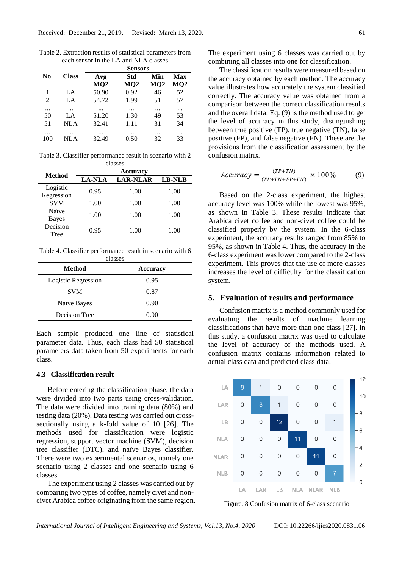|                |              | <b>Sensors</b> |                        |                        |            |  |  |
|----------------|--------------|----------------|------------------------|------------------------|------------|--|--|
| No.            | <b>Class</b> | Avg<br>MQ2     | Std<br>MQ <sub>2</sub> | Min<br>MQ <sub>2</sub> | Max<br>MQ2 |  |  |
| 1              | LA           | 50.90          | 0.92                   | 46                     | 52         |  |  |
| $\overline{c}$ | LA           | 54.72          | 1.99                   | 51                     | 57         |  |  |
|                |              |                | .                      |                        |            |  |  |
| 50             | LA           | 51.20          | 1.30                   | 49                     | 53         |  |  |
| 51             | NLA          | 32.41          | 1.11                   | 31                     | 34         |  |  |
|                |              |                |                        |                        |            |  |  |
| 100            | NLA          | 32.49          | 0.50                   | 32                     | 33         |  |  |

Table 2. Extraction results of statistical parameters from each sensor in the LA and NLA classes

Table 3. Classifier performance result in scenario with 2 classes

| <b>Method</b> | <b>Accuracy</b> |                 |        |  |  |
|---------------|-----------------|-----------------|--------|--|--|
|               | <b>LA-NLA</b>   | <b>LAR-NLAR</b> | LB-NLB |  |  |
| Logistic      | 0.95            | 1.00            | 1.00   |  |  |
| Regression    |                 |                 |        |  |  |
| <b>SVM</b>    | 1.00            | 1.00            | 1.00   |  |  |
| Naïve         | 1.00            | 1.00            | 1.00   |  |  |
| <b>Bayes</b>  |                 |                 |        |  |  |
| Decision      | 0.95            | 1.00            | 1.00   |  |  |
| Tree          |                 |                 |        |  |  |

Table 4. Classifier performance result in scenario with 6 classes

| ັບເພນບັບ            |                 |  |
|---------------------|-----------------|--|
| <b>Method</b>       | <b>Accuracy</b> |  |
| Logistic Regression | 0.95            |  |
| <b>SVM</b>          | 0.87            |  |
| Naïve Bayes         | 0.90            |  |
| Decision Tree       | 0.90            |  |
|                     |                 |  |

Each sample produced one line of statistical parameter data. Thus, each class had 50 statistical parameters data taken from 50 experiments for each class.

#### **4.3 Classification result**

Before entering the classification phase, the data were divided into two parts using cross-validation. The data were divided into training data (80%) and testing data (20%). Data testing was carried out crosssectionally using a k-fold value of 10 [26]. The methods used for classification were logistic regression, support vector machine (SVM), decision tree classifier (DTC), and naïve Bayes classifier. There were two experimental scenarios, namely one scenario using 2 classes and one scenario using 6 classes.

The experiment using 2 classes was carried out by comparing two types of coffee, namely civet and noncivet Arabica coffee originating from the same region. The experiment using 6 classes was carried out by combining all classes into one for classification.

The classification results were measured based on the accuracy obtained by each method. The accuracy value illustrates how accurately the system classified correctly. The accuracy value was obtained from a comparison between the correct classification results and the overall data. Eq. (9) is the method used to get the level of accuracy in this study, distinguishing between true positive (TP), true negative (TN), false positive (FP), and false negative (FN). These are the provisions from the classification assessment by the confusion matrix.

$$
Accuracy = \frac{(TP+TN)}{(TP+TN+FP+FN)} \times 100\% \tag{9}
$$

Based on the 2-class experiment, the highest accuracy level was 100% while the lowest was 95%, as shown in Table 3. These results indicate that Arabica civet coffee and non-civet coffee could be classified properly by the system. In the 6-class experiment, the accuracy results ranged from 85% to 95%, as shown in Table 4. Thus, the accuracy in the 6-class experiment was lower compared to the 2-class experiment. This proves that the use of more classes increases the level of difficulty for the classification system.

## **5. Evaluation of results and performance**

Confusion matrix is a method commonly used for evaluating the results of machine learning classifications that have more than one class [27]. In this study, a confusion matrix was used to calculate the level of accuracy of the methods used. A confusion matrix contains information related to actual class data and predicted class data.



Figure. 8 Confusion matrix of 6-class scenario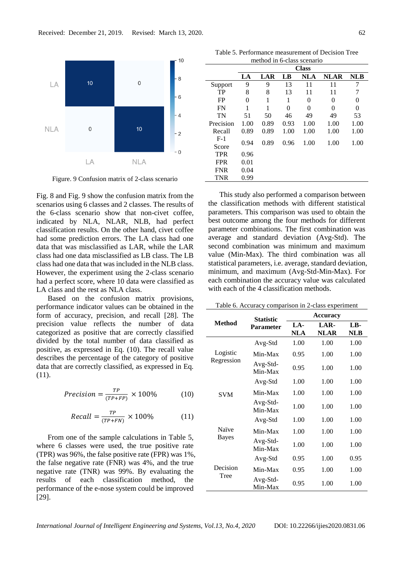

Figure. 9 Confusion matrix of 2-class scenario

Fig. 8 and Fig. 9 show the confusion matrix from the scenarios using 6 classes and 2 classes. The results of the 6-class scenario show that non-civet coffee, indicated by NLA, NLAR, NLB, had perfect classification results. On the other hand, civet coffee had some prediction errors. The LA class had one data that was misclassified as LAR, while the LAR class had one data misclassified as LB class. The LB class had one data that was included in the NLB class. However, the experiment using the 2-class scenario had a perfect score, where 10 data were classified as LA class and the rest as NLA class.

Based on the confusion matrix provisions, performance indicator values can be obtained in the form of accuracy, precision, and recall [28]. The precision value reflects the number of data categorized as positive that are correctly classified divided by the total number of data classified as positive, as expressed in Eq. (10). The recall value describes the percentage of the category of positive data that are correctly classified, as expressed in Eq. (11).

$$
Precision = \frac{TP}{(TP + FP)} \times 100\% \tag{10}
$$

$$
Recall = \frac{TP}{(TP+FN)} \times 100\%
$$
 (11)

From one of the sample calculations in Table 5, where 6 classes were used, the true positive rate (TPR) was 96%, the false positive rate (FPR) was 1%, the false negative rate (FNR) was 4%, and the true negative rate (TNR) was 99%. By evaluating the results of each classification method, the performance of the e-nose system could be improved [29].

Table 5. Performance measurement of Decision Tree method in 6-class scenario

|            | <b>Class</b> |      |      |          |             |          |
|------------|--------------|------|------|----------|-------------|----------|
|            | LA           | LAR  | LB   | NLA      | <b>NLAR</b> | NLB      |
| Support    | 9            | 9    | 13   | 11       | 11          | 7        |
| TP         | 8            | 8    | 13   | 11       | 11          | 7        |
| FP         | 0            | 1    | 1    | $\Omega$ | 0           | $\Omega$ |
| <b>FN</b>  | 1            | 1    | 0    | 0        | 0           | 0        |
| TN         | 51           | 50   | 46   | 49       | 49          | 53       |
| Precision  | 1.00         | 0.89 | 0.93 | 1.00     | 1.00        | 1.00     |
| Recall     | 0.89         | 0.89 | 1.00 | 1.00     | 1.00        | 1.00     |
| $F-1$      | 0.94         | 0.89 | 0.96 | 1.00     | 1.00        | 1.00     |
| Score      |              |      |      |          |             |          |
| <b>TPR</b> | 0.96         |      |      |          |             |          |
| <b>FPR</b> | 0.01         |      |      |          |             |          |
| <b>FNR</b> | 0.04         |      |      |          |             |          |
| <b>TNR</b> | 0.99         |      |      |          |             |          |

This study also performed a comparison between the classification methods with different statistical parameters. This comparison was used to obtain the best outcome among the four methods for different parameter combinations. The first combination was average and standard deviation (Avg-Std). The second combination was minimum and maximum value (Min-Max). The third combination was all statistical parameters, i.e. average, standard deviation, minimum, and maximum (Avg-Std-Min-Max). For each combination the accuracy value was calculated with each of the 4 classification methods.

Table 6. Accuracy comparison in 2-class experiment

|                  | <b>Statistic</b>      | <b>Accuracy</b> |                     |            |  |
|------------------|-----------------------|-----------------|---------------------|------------|--|
| Method           | <b>Parameter</b>      | LA-<br>NLA      | LAR-<br><b>NLAR</b> | LB-<br>NLB |  |
|                  | Avg-Std               | 1.00            | 1.00                | 1.00       |  |
| Logistic         | Min-Max               | 0.95            | 1.00                | 1.00       |  |
| Regression       | Avg-Std-<br>Min-Max   | 0.95            | 1.00                | 1.00       |  |
|                  | Avg-Std               | 1.00            | 1.00                | 1.00       |  |
| <b>SVM</b>       | Min-Max               | 1.00            | 1.00                | 1.00       |  |
|                  | $Avg-Std-$<br>Min-Max | 1.00            | 1.00                | 1.00       |  |
|                  | Avg-Std               | 1.00            | 1.00                | 1.00       |  |
| Naïve            | Min-Max               | 1.00            | 1.00                | 1.00       |  |
| Bayes            | $Avg-Std-$<br>Min-Max | 1.00            | 1.00                | 1.00       |  |
| Decision<br>Tree | Avg-Std               | 0.95            | 1.00                | 0.95       |  |
|                  | Min-Max               | 0.95            | 1.00                | 1.00       |  |
|                  | Avg-Std-<br>Min-Max   | 0.95            | 1.00                | 1.00       |  |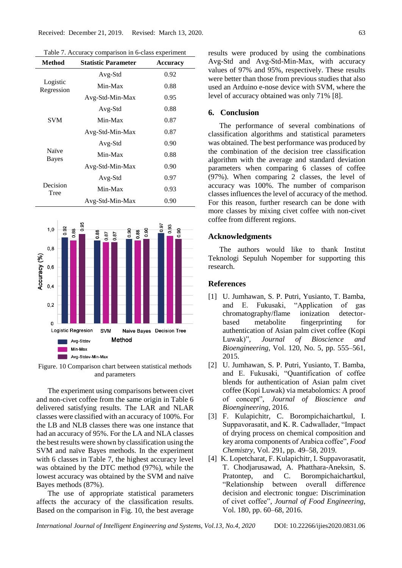Table 7. Accuracy comparison in 6-class experiment

| Method                 | <b>Statistic Parameter</b> | <b>Accuracy</b> |
|------------------------|----------------------------|-----------------|
|                        | Avg-Std                    | 0.92            |
| Logistic<br>Regression | Min-Max                    | 0.88            |
|                        | Avg-Std-Min-Max            | 0.95            |
|                        | Avg-Std                    | 0.88            |
| <b>SVM</b>             | Min-Max                    | 0.87            |
|                        | Avg-Std-Min-Max            | 0.87            |
| Naïve<br><b>Bayes</b>  | Avg-Std                    | 0.90            |
|                        | Min-Max                    | 0.88            |
|                        | Avg-Std-Min-Max            | 0.90            |
| Decision<br>Tree       | Avg-Std                    | 0.97            |
|                        | Min-Max                    | 0.93            |
|                        | Avg-Std-Min-Max            | 0.90            |



Figure. 10 Comparison chart between statistical methods and parameters

The experiment using comparisons between civet and non-civet coffee from the same origin in Table 6 delivered satisfying results. The LAR and NLAR classes were classified with an accuracy of 100%. For the LB and NLB classes there was one instance that had an accuracy of 95%. For the LA and NLA classes the best results were shown by classification using the SVM and naïve Bayes methods. In the experiment with 6 classes in Table 7, the highest accuracy level was obtained by the DTC method (97%), while the lowest accuracy was obtained by the SVM and naïve Bayes methods (87%).

The use of appropriate statistical parameters affects the accuracy of the classification results. Based on the comparison in Fig. 10, the best average results were produced by using the combinations Avg-Std and Avg-Std-Min-Max, with accuracy values of 97% and 95%, respectively. These results were better than those from previous studies that also used an Arduino e-nose device with SVM, where the level of accuracy obtained was only 71% [8].

#### **6. Conclusion**

The performance of several combinations of classification algorithms and statistical parameters was obtained. The best performance was produced by the combination of the decision tree classification algorithm with the average and standard deviation parameters when comparing 6 classes of coffee (97%). When comparing 2 classes, the level of accuracy was 100%. The number of comparison classes influences the level of accuracy of the method. For this reason, further research can be done with more classes by mixing civet coffee with non-civet coffee from different regions.

#### **Acknowledgments**

The authors would like to thank Institut Teknologi Sepuluh Nopember for supporting this research.

## **References**

- [1] U. Jumhawan, S. P. Putri, Yusianto, T. Bamba, and E. Fukusaki, "Application of gas chromatography/flame ionization detectorbased metabolite fingerprinting for authentication of Asian palm civet coffee (Kopi Luwak)", *Journal of Bioscience and Bioengineering*, Vol. 120, No. 5, pp. 555–561, 2015.
- [2] U. Jumhawan, S. P. Putri, Yusianto, T. Bamba, and E. Fukusaki, "Quantification of coffee blends for authentication of Asian palm civet coffee (Kopi Luwak) via metabolomics: A proof of concept", *Journal of Bioscience and Bioengineering*, 2016.
- [3] F. Kulapichitr, C. Borompichaichartkul, I. Suppavorasatit, and K. R. Cadwallader, "Impact of drying process on chemical composition and key aroma components of Arabica coffee", *Food Chemistry*, Vol. 291, pp. 49–58, 2019.
- [4] K. Lopetcharat, F. Kulapichitr, I. Suppavorasatit, T. Chodjarusawad, A. Phatthara-Aneksin, S. Pratontep, and C. Borompichaichartkul, "Relationship between overall difference decision and electronic tongue: Discrimination of civet coffee", *Journal of Food Engineering*, Vol. 180, pp. 60–68, 2016.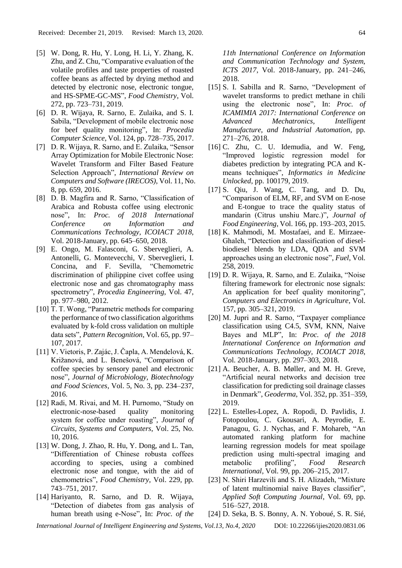- [5] W. Dong, R. Hu, Y. Long, H. Li, Y. Zhang, K. Zhu, and Z. Chu, "Comparative evaluation of the volatile profiles and taste properties of roasted coffee beans as affected by drying method and detected by electronic nose, electronic tongue, and HS-SPME-GC-MS", *Food Chemistry*, Vol. 272, pp. 723–731, 2019.
- [6] D. R. Wijaya, R. Sarno, E. Zulaika, and S. I. Sabila, "Development of mobile electronic nose for beef quality monitoring", In: *Procedia Computer Science*, Vol. 124, pp. 728–735, 2017.
- [7] D. R. Wijaya, R. Sarno, and E. Zulaika, "Sensor Array Optimization for Mobile Electronic Nose: Wavelet Transform and Filter Based Feature Selection Approach", *International Review on Computers and Software (IRECOS)*, Vol. 11, No. 8, pp. 659, 2016.
- [8] D. B. Magfira and R. Sarno, "Classification of Arabica and Robusta coffee using electronic nose", In: *Proc. of 2018 International Conference on Information and Communications Technology, ICOIACT 2018*, Vol. 2018-January, pp. 645–650, 2018.
- [9] E. Ongo, M. Falasconi, G. Sberveglieri, A. Antonelli, G. Montevecchi, V. Sberveglieri, I. Concina, and F. Sevilla, "Chemometric discrimination of philippine civet coffee using electronic nose and gas chromatography mass spectrometry", *Procedia Engineering*, Vol. 47, pp. 977–980, 2012.
- [10] T. T. Wong, "Parametric methods for comparing the performance of two classification algorithms evaluated by k-fold cross validation on multiple data sets", *Pattern Recognition*, Vol. 65, pp. 97– 107, 2017.
- [11] V. Vietoris, P. Zajác, J. Čapla, A. Mendelová, K. Križanová, and L. Benešová, "Comparison of coffee species by sensory panel and electronic nose", *Journal of Microbiology, Biotechnology and Food Sciences*, Vol. 5, No. 3, pp. 234–237, 2016.
- [12] Radi, M. Rivai, and M. H. Purnomo, "Study on electronic-nose-based quality monitoring system for coffee under roasting", *Journal of Circuits, Systems and Computers*, Vol. 25, No. 10, 2016.
- [13] W. Dong, J. Zhao, R. Hu, Y. Dong, and L. Tan, "Differentiation of Chinese robusta coffees according to species, using a combined electronic nose and tongue, with the aid of chemometrics", *Food Chemistry*, Vol. 229, pp. 743–751, 2017.
- [14] Hariyanto, R. Sarno, and D. R. Wijaya, "Detection of diabetes from gas analysis of human breath using e-Nose", In: *Proc. of the*

*11th International Conference on Information and Communication Technology and System, ICTS 2017*, Vol. 2018-January, pp. 241–246, 2018.

- [15] S. I. Sabilla and R. Sarno, "Development of wavelet transforms to predict methane in chili using the electronic nose", In: *Proc. of ICAMIMIA 2017: International Conference on Advanced Mechatronics, Intelligent Manufacture, and Industrial Automation*, pp. 271–276, 2018.
- [16] C. Zhu, C. U. Idemudia, and W. Feng, "Improved logistic regression model for diabetes prediction by integrating PCA and Kmeans techniques", *Informatics in Medicine Unlocked*, pp. 100179, 2019.
- [17] S. Qiu, J. Wang, C. Tang, and D. Du, "Comparison of ELM, RF, and SVM on E-nose and E-tongue to trace the quality status of mandarin (Citrus unshiu Marc.)", *Journal of Food Engineering*, Vol. 166, pp. 193–203, 2015.
- [18] K. Mahmodi, M. Mostafaei, and E. Mirzaee-Ghaleh, "Detection and classification of dieselbiodiesel blends by LDA, QDA and SVM approaches using an electronic nose", *Fuel*, Vol. 258, 2019.
- [19] D. R. Wijaya, R. Sarno, and E. Zulaika, "Noise filtering framework for electronic nose signals: An application for beef quality monitoring", *Computers and Electronics in Agriculture*, Vol. 157, pp. 305–321, 2019.
- [20] M. Jupri and R. Sarno, "Taxpayer compliance classification using C4.5, SVM, KNN, Naive Bayes and MLP", In: *Proc. of the 2018 International Conference on Information and Communications Technology, ICOIACT 2018*, Vol. 2018-January, pp. 297–303, 2018.
- [21] A. Beucher, A. B. Møller, and M. H. Greve, "Artificial neural networks and decision tree classification for predicting soil drainage classes in Denmark", *Geoderma*, Vol. 352, pp. 351–359, 2019.
- [22] L. Estelles-Lopez, A. Ropodi, D. Pavlidis, J. Fotopoulou, C. Gkousari, A. Peyrodie, E. Panagou, G. J. Nychas, and F. Mohareb, "An automated ranking platform for machine learning regression models for meat spoilage prediction using multi-spectral imaging and metabolic profiling", *Food Research International*, Vol. 99, pp. 206–215, 2017.
- [23] N. Shiri Harzevili and S. H. Alizadeh, "Mixture of latent multinomial naive Bayes classifier", *Applied Soft Computing Journal*, Vol. 69, pp. 516–527, 2018.
- [24] D. Seka, B. S. Bonny, A. N. Yoboué, S. R. Sié,